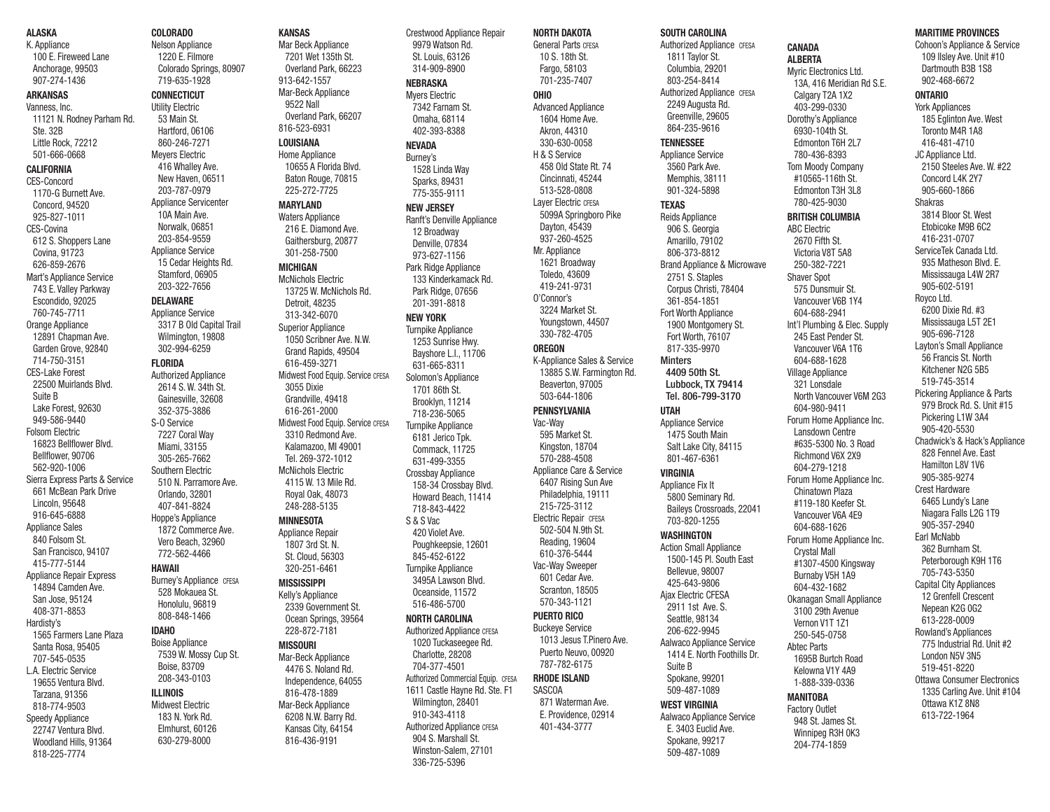#### ALASKA

K. Appliance 100 E. Fireweed Lane Anchorage, 99503

907-274-1436 ARKANSAS Vanness, Inc. 11121 N. Rodney Parham Rd. Ste. 32B Little Rock, 72212 501-666-0668 CALIFORNIA CES-Concord 1170-G Burnett Ave. Concord, 94520 925-827-1011 CES-Covina 612 S. Shoppers Lane  $Covina$ , 91723 626-859-2676 Mart's Appliance Service 743 E. Valley Parkway Escondido, 92025 760-745-7711 Orange Appliance 12891 Chapman Ave. Garden Grove, 92840 714-750-3151 CES-Lake Forest 22500 Muirlands Blvd. Suite B Lake Forest, 92630 949-586-9440 Folsom Electric 16823 Bellflower Blvd. Bellflower, 90706 562-920-1006 Sierra Express Parts & Service 661 McBean Park Drive Lincoln, 95648 916-645-6888 Annliance Sales 840 Folsom St. San Francisco, 94107 415-777-5144 Appliance Repair Express 14894 Camden Ave. San Jose, 95124

408-371-8853 Hardisty's 1565 Farmers Lane Plaza Santa Rosa, 95405 707-545-0535 L.A. Electric Service 19655 Ventura Blvd. Tarzana, 91356 818-774-9503 Speedy Appliance 22747 Ventura Blvd. Woodland Hills, 91364

818-225-7774

Meyers Electric 416 Whalley Ave. New Haven, 06511 203-787-0979 Appliance Servicenter 10A Main Ave. Norwalk, 06851 203-854-9559 Appliance Service 15 Cedar Heights Rd. Stamford, 06905 203-322-7656 DELAWARE **Annliance Service** 3317 B Old Capital Trail Wilmington, 19808 302-994-6259 **FLORIDA** Authorized Appliance 2614 S. W. 34th St. Gainesville, 32608 352-375-3886 S-O Service 7227 Coral Way Miami, 33155 305-265-7662 Southern Electric 510 N. Parramore Ave. Orlando, 32801 407-841-8824 Hoppe's Appliance 1872 Commerce Ave. Vero Beach, 32960 772-562-4466 HAWAII Burney's Appliance CFESA 528 Mokauea St. Honolulu, 96819 808-848-1466 IDAHO Boise Appliance

# ILLINOIS

7539 W. Mossy Cup St. Boise, 83709 208-343-0103 Midwest Electric 183 N. York Rd. Elmhurst, 60126 630-279-8000

# Nelson Appliance

COLORADO

1220 E. Filmore Colorado Springs, 80907 719-635-1928 CONNECTICUT Utility Electric 53 Main St. Hartford, 06106 860-246-7271

Mar Beck Appliance 7201 Wet 135th St. Overland Park, 66223 913-642-1557 Mar-Beck Appliance 9522 Nall Overland Park, 66207 816-523-6931

KANSAS

#### LOUISIANA Home Appliance 10655 A Florida Blvd.

Baton Rouge, 70815 225-272-7725 MARYLAND

Waters Appliance 216 E. Diamond Ave. Gaithersburg, 20877 301-258-7500

MICHIGAN McNichols Electric 13725 W. McNichols Rd. Detroit, 48235 313-342-6070 Superior Appliance 1050 Scribner Ave. N.W. Grand Rapids, 49504 616-459-3271 Midwest Food Equip. Service CFESA

3055 Dixie Grandville, 49418 616-261-2000 Midwest Food Equip. Service CFESA 3310 Redmond Ave. Kalamazoo, MI 49001 Tel. 269-372-1012 McNichols Electric 4115 W. 13 Mile Rd. Royal Oak, 48073 248-288-5135 MINNESOTA Appliance Repair 1807 3rd St. N. St. Cloud, 56303 320-251-6461 MISSISSIPPI Kelly's Annliance 2339 Government St. Ocean Springs, 39564 228-872-7181

MISSOURI Mar-Beck Appliance 4476 S. Noland Rd. Independence, 64055 816-478-1889 Mar-Beck Appliance 6208 N.W. Barry Rd. Kansas City, 64154 816-436-9191

Crestwood Appliance Repair 9979 Watson Rd. St. Louis, 63126 314-909-8900 NEBRASKA Myers Electric

#### 7342 Farnam St. Omaha, 68114

402-393-8388 **NEVADA** Burney's 1528 Linda Way Sparks, 89431 775-355-9111 NEW JERSEY

### Ranft's Denville Appliance 12 Broadway

Denville, 07834 973-627-1156 Park Ridge Appliance 133 Kinderkamack Rd. Park Ridge, 07656 201-391-8818 NEW YORK Turnpike Appliance 1253 Sunrise Hwy. Bayshore L.I., 11706 631-665-8311 Solomon's Appliance 1701 86th St. Brooklyn, 11214 718-236-5065 Turnpike Appliance 6181 Jerico Tpk. Commack, 11725 631-499-3355 Crossbay Appliance 158-34 Crossbay Blvd. Howard Beach, 11414 718-843-4422 S & S Vac 420 Violet Ave. Poughkeepsie, 12601 845-452-6122 Turnpike Appliance 3495A Lawson Blvd. Oceanside, 11572 516-486-5700 NORTH CAROLINA Authorized Appliance CFESA 1020 Tuckaseegee Rd. Charlotte, 28208 704-377-4501 Authorized Commercial Equip. CFESA 1611 Castle Hayne Rd. Ste. F1 Wilmington, 28401 910-343-4118 **Authorized Appliance CFESA** 904 S. Marshall St.

Winston-Salem, 27101 336-725-5396

NORTH DAKOTA General Parts CFESA 10 S. 18th St. Fargo, 58103 701-235-7407 OHIO Advanced Appliance 1604 Home Ave. Akron, 44310 330-630-0058 H & S Service 458 Old State Rt. 74 Cincinnati, 45244 513-528-0808 Layer Electric CFESA 5099A Springboro Pike Dayton, 45439 937-260-4525 Mr. Appliance 1621 Broadway Toledo, 43609 419-241-9731 O'Connor's 3224 Market St. Youngstown, 44507 330-782-4705 **OREGON** K-Appliance Sales & Service 13885 S.W. Farmington Rd. Beaverton, 97005 503-644-1806 PENNSYLVANIA Vac-Way 595 Market St. Kingston, 18704 570-288-4508 Appliance Care & Service 6407 Rising Sun Ave Philadelphia, 19111 215-725-3112 **Electric Repair CFESA** 502-504 N.9th St. Reading, 19604 610-376-5444 Vac-Way Sweeper 601 Cedar Ave. Scranton, 18505 570-343-1121 PUERTO RICO Buckeye Service 1013 Jesus T.Pinero Ave. Puerto Neuvo, 00920 787-782-6175 RHODE ISLAND **SASCOA** 871 Waterman Ave. E. Providence, 02914 401-434-3777

#### SOUTH CAROLINA Authorized Appliance CFESA

1811 Taylor St. Columbia, 29201 803-254-8414 Authorized Appliance CFESA 2249 Augusta Rd. Greenville, 29605 864-235-9616 **TENNESSEE** Appliance Service 3560 Park Ave. Memphis, 38111 901-324-5898 TEXAS Reids Appliance 906 S. Georgia Amarillo, 79102 806-373-8812 Brand Appliance & Microwave 2751 S. Staples Corpus Christi, 78404 361-854-1851 Fort Worth Appliance 1900 Montgomery St. Fort Worth, 76107 817-335-9970 **Minters** 4409 50th St. Lubbock, TX 79414 Tel. 806-799-3170 UTAH Appliance Service 1475 South Main Salt Lake City, 84115 801-467-6361 VIRGINIA Appliance Fix It 5800 Seminary Rd. Baileys Crossroads, 22041 703-820-1255 WASHINGTON Action Small Appliance 1500-145 Pl. South East Bellevue, 98007 425-643-9806 Ajax Electric CFESA 2911 1st Ave. S. Seattle, 98134 206-622-9945 Aalwaco Appliance Service 1414 E. North Foothills Dr. Suite B Spokane, 99201 509-487-1089

#### WEST VIRGINIA Aalwaco Appliance Service E. 3403 Euclid Ave. Spokane, 99217

509-487-1089

#### **CANADA** ALBERTA Myric Electronics Ltd. 13A, 416 Meridian Rd S.E. Calgary T2A 1X2

403-299-0330 Dorothy's Appliance 6930-104th St. Edmonton T6H 2L7 780-436-8393 Tom Moody Company #10565-116th St. Edmonton T3H 3L8 780-425-9030 BRITISH COLUMBIA ABC Electric 2670 Fifth St. Victoria V8T 5A8 250-382-7221 Shaver Spot 575 Dunsmuir St. Vancouver V6B 1Y4 604-688-2941 Int'l Plumbing & Elec. Supply 245 East Pender St. Vancouver V6A 1T6 604-688-1628 Village Appliance 321 Lonsdale North Vancouver V6M 2G3 604-980-9411 Forum Home Appliance Inc. Lansdown Centre #635-5300 No. 3 Road Richmond V6X 2X9 604-279-1218 Forum Home Appliance Inc. Chinatown Plaza #119-180 Keefer St. Vancouver V6A 4E9 604-688-1626 Forum Home Appliance Inc. Crystal Mall #1307-4500 Kingsway Burnaby V5H 1A9 604-432-1682 Okanagan Small Appliance 3100 29th Avenue Vernon V1T 1Z1 250-545-0758 Abtec Parts 1695B Burtch Road Kelowna V1Y 4A9 1-888-339-0336

#### MANITOBA Factory Outlet

948 St. James St. Winnipeg R3H 0K3 204-774-1859

#### MARITIME PROVINCES Cohoon's Appliance & Service

109 Ilsley Ave. Unit #10 Dartmouth B3B 1S8 902-468-6672

#### ONTARIO

York Appliances 185 Eglinton Ave. West Toronto M4R 1A8 416-481-4710 JC Appliance Ltd. 2150 Steeles Ave. W. #22 Concord L4K 2Y7 905-660-1866 Shakras 3814 Bloor St. West Etobicoke M9B 6C2 416-231-0707 ServiceTek Canada Ltd. 935 Matheson Blvd. E. Mississauga L4W 2R7 905-602-5191 Royco Ltd. 6200 Dixie Rd. #3 Mississauga L5T 2E1 905-696-7128 Layton's Small Appliance 56 Francis St. North Kitchener N2G 5B5 519-745-3514 Pickering Appliance & Parts 979 Brock Rd. S. Unit #15 Pickering L1W 3A4 905-420-5530 Chadwick's & Hack's Appliance 828 Fennel Ave. East Hamilton L8V 1V6 905-385-9274 Crest Hardware 6465 Lundy's Lane Niagara Falls L2G 1T9 905-357-2940 Earl McNabb 362 Burnham St. Peterborough K9H 1T6 705-743-5350 Capital City Appliances 12 Grenfell Crescent Nepean K2G 0G2 613-228-0009 Rowland's Appliances 775 Industrial Rd. Unit #2 London N5V 3N5 519-451-8220 Ottawa Consumer Electronics 1335 Carling Ave. Unit #104 Ottawa K1Z 8N8

613-722-1964